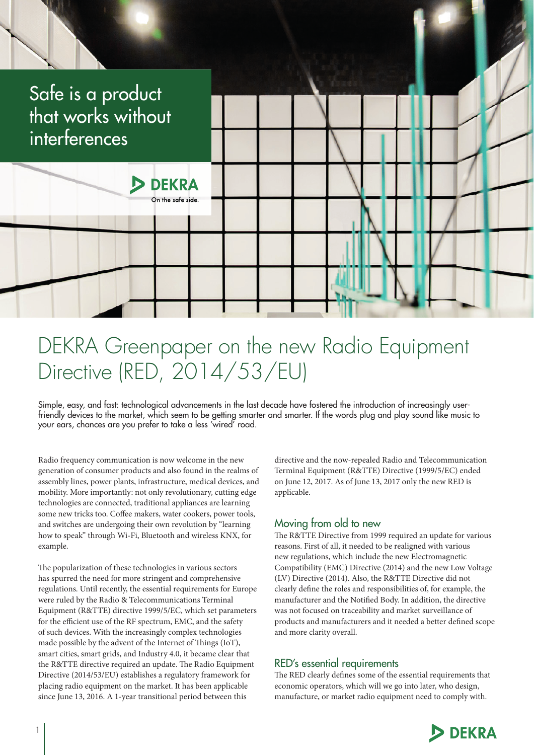

# DEKRA Greenpaper on the new Radio Equipment Directive (RED, 2014/53/EU)

Simple, easy, and fast: technological advancements in the last decade have fostered the introduction of increasingly userfriendly devices to the market, which seem to be getting smarter and smarter. If the words plug and play sound like music to your ears, chances are you prefer to take a less 'wired' road.

Radio frequency communication is now welcome in the new generation of consumer products and also found in the realms of assembly lines, power plants, infrastructure, medical devices, and mobility. More importantly: not only revolutionary, cutting edge technologies are connected, traditional appliances are learning some new tricks too. Coffee makers, water cookers, power tools, and switches are undergoing their own revolution by "learning how to speak" through Wi-Fi, Bluetooth and wireless KNX, for example.

The popularization of these technologies in various sectors has spurred the need for more stringent and comprehensive regulations. Until recently, the essential requirements for Europe were ruled by the Radio & Telecommunications Terminal Equipment (R&TTE) directive 1999/5/EC, which set parameters for the efficient use of the RF spectrum, EMC, and the safety of such devices. With the increasingly complex technologies made possible by the advent of the Internet of Things (IoT), smart cities, smart grids, and Industry 4.0, it became clear that the R&TTE directive required an update. The Radio Equipment Directive (2014/53/EU) establishes a regulatory framework for placing radio equipment on the market. It has been applicable since June 13, 2016. A 1-year transitional period between this

directive and the now-repealed Radio and Telecommunication Terminal Equipment (R&TTE) Directive (1999/5/EC) ended on June 12, 2017. As of June 13, 2017 only the new RED is applicable.

## Moving from old to new

The R&TTE Directive from 1999 required an update for various reasons. First of all, it needed to be realigned with various new regulations, which include the new Electromagnetic Compatibility (EMC) Directive (2014) and the new Low Voltage (LV) Directive (2014). Also, the R&TTE Directive did not clearly define the roles and responsibilities of, for example, the manufacturer and the Notified Body. In addition, the directive was not focused on traceability and market surveillance of products and manufacturers and it needed a better defined scope and more clarity overall.

### RED's essential requirements

The RED clearly defines some of the essential requirements that economic operators, which will we go into later, who design, manufacture, or market radio equipment need to comply with.

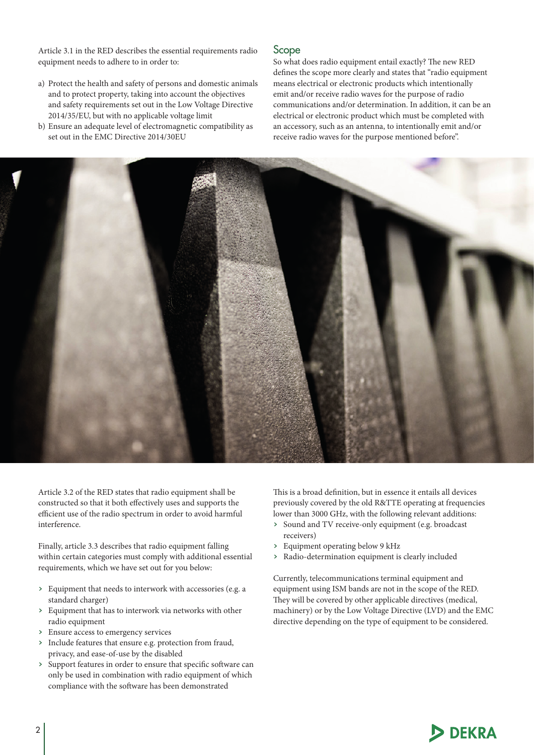Article 3.1 in the RED describes the essential requirements radio equipment needs to adhere to in order to:

- a) Protect the health and safety of persons and domestic animals and to protect property, taking into account the objectives and safety requirements set out in the Low Voltage Directive 2014/35/EU, but with no applicable voltage limit
- b) Ensure an adequate level of electromagnetic compatibility as set out in the EMC Directive 2014/30EU

#### Scope

So what does radio equipment entail exactly? The new RED defines the scope more clearly and states that "radio equipment means electrical or electronic products which intentionally emit and/or receive radio waves for the purpose of radio communications and/or determination. In addition, it can be an electrical or electronic product which must be completed with an accessory, such as an antenna, to intentionally emit and/or receive radio waves for the purpose mentioned before".



Article 3.2 of the RED states that radio equipment shall be constructed so that it both effectively uses and supports the efficient use of the radio spectrum in order to avoid harmful interference.

Finally, article 3.3 describes that radio equipment falling within certain categories must comply with additional essential requirements, which we have set out for you below:

- › Equipment that needs to interwork with accessories (e.g. a standard charger)
- › Equipment that has to interwork via networks with other radio equipment
- › Ensure access to emergency services
- › Include features that ensure e.g. protection from fraud, privacy, and ease-of-use by the disabled
- › Support features in order to ensure that specific software can only be used in combination with radio equipment of which compliance with the software has been demonstrated

This is a broad definition, but in essence it entails all devices previously covered by the old R&TTE operating at frequencies lower than 3000 GHz, with the following relevant additions:

- › Sound and TV receive-only equipment (e.g. broadcast receivers)
- › Equipment operating below 9 kHz
- › Radio-determination equipment is clearly included

Currently, telecommunications terminal equipment and equipment using ISM bands are not in the scope of the RED. They will be covered by other applicable directives (medical, machinery) or by the Low Voltage Directive (LVD) and the EMC directive depending on the type of equipment to be considered.

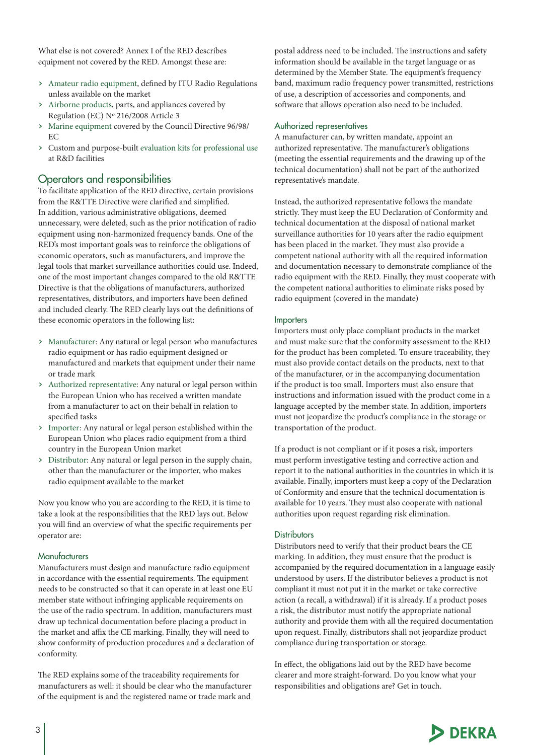What else is not covered? Annex I of the RED describes equipment not covered by the RED. Amongst these are:

- › Amateur radio equipment, defined by ITU Radio Regulations unless available on the market
- › Airborne products, parts, and appliances covered by Regulation (EC) Nº 216/2008 Article 3
- › Marine equipment covered by the Council Directive 96/98/ EC
- › Custom and purpose-built evaluation kits for professional use at R&D facilities

## Operators and responsibilities

To facilitate application of the RED directive, certain provisions from the R&TTE Directive were clarified and simplified. In addition, various administrative obligations, deemed unnecessary, were deleted, such as the prior notification of radio equipment using non-harmonized frequency bands. One of the RED's most important goals was to reinforce the obligations of economic operators, such as manufacturers, and improve the legal tools that market surveillance authorities could use. Indeed, one of the most important changes compared to the old R&TTE Directive is that the obligations of manufacturers, authorized representatives, distributors, and importers have been defined and included clearly. The RED clearly lays out the definitions of these economic operators in the following list:

- › Manufacturer: Any natural or legal person who manufactures radio equipment or has radio equipment designed or manufactured and markets that equipment under their name or trade mark
- › Authorized representative: Any natural or legal person within the European Union who has received a written mandate from a manufacturer to act on their behalf in relation to specified tasks
- › Importer: Any natural or legal person established within the European Union who places radio equipment from a third country in the European Union market
- › Distributor: Any natural or legal person in the supply chain, other than the manufacturer or the importer, who makes radio equipment available to the market

Now you know who you are according to the RED, it is time to take a look at the responsibilities that the RED lays out. Below you will find an overview of what the specific requirements per operator are:

#### Manufacturers

Manufacturers must design and manufacture radio equipment in accordance with the essential requirements. The equipment needs to be constructed so that it can operate in at least one EU member state without infringing applicable requirements on the use of the radio spectrum. In addition, manufacturers must draw up technical documentation before placing a product in the market and affix the CE marking. Finally, they will need to show conformity of production procedures and a declaration of conformity.

The RED explains some of the traceability requirements for manufacturers as well: it should be clear who the manufacturer of the equipment is and the registered name or trade mark and

postal address need to be included. The instructions and safety information should be available in the target language or as determined by the Member State. The equipment's frequency band, maximum radio frequency power transmitted, restrictions of use, a description of accessories and components, and software that allows operation also need to be included.

#### Authorized representatives

A manufacturer can, by written mandate, appoint an authorized representative. The manufacturer's obligations (meeting the essential requirements and the drawing up of the technical documentation) shall not be part of the authorized representative's mandate.

Instead, the authorized representative follows the mandate strictly. They must keep the EU Declaration of Conformity and technical documentation at the disposal of national market surveillance authorities for 10 years after the radio equipment has been placed in the market. They must also provide a competent national authority with all the required information and documentation necessary to demonstrate compliance of the radio equipment with the RED. Finally, they must cooperate with the competent national authorities to eliminate risks posed by radio equipment (covered in the mandate)

#### Importers

Importers must only place compliant products in the market and must make sure that the conformity assessment to the RED for the product has been completed. To ensure traceability, they must also provide contact details on the products, next to that of the manufacturer, or in the accompanying documentation if the product is too small. Importers must also ensure that instructions and information issued with the product come in a language accepted by the member state. In addition, importers must not jeopardize the product's compliance in the storage or transportation of the product.

If a product is not compliant or if it poses a risk, importers must perform investigative testing and corrective action and report it to the national authorities in the countries in which it is available. Finally, importers must keep a copy of the Declaration of Conformity and ensure that the technical documentation is available for 10 years. They must also cooperate with national authorities upon request regarding risk elimination.

#### **Distributors**

Distributors need to verify that their product bears the CE marking. In addition, they must ensure that the product is accompanied by the required documentation in a language easily understood by users. If the distributor believes a product is not compliant it must not put it in the market or take corrective action (a recall, a withdrawal) if it is already. If a product poses a risk, the distributor must notify the appropriate national authority and provide them with all the required documentation upon request. Finally, distributors shall not jeopardize product compliance during transportation or storage.

In effect, the obligations laid out by the RED have become clearer and more straight-forward. Do you know what your responsibilities and obligations are? Get in touch.